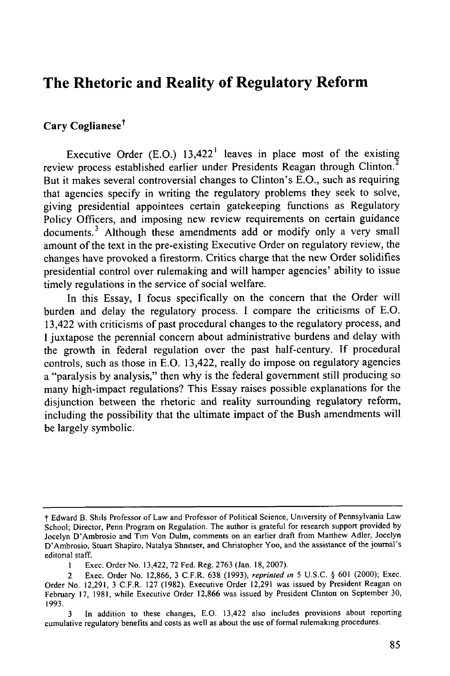# **The Rhetoric and Reality of Regulatory Reform**

# Cary Coglianese<sup>†</sup>

Executive Order  $(E.O.)$  13,422<sup>1</sup> leaves in place most of the existing review process established earlier under Presidents Reagan through Clinton.<sup>2</sup> But it makes several controversial changes to Clinton's E.O., such as requiring that agencies specify in writing the regulatory problems they seek to solve, giving presidential appointees certain gatekeeping functions as Regulatory Policy Officers, and imposing new review requirements on certain guidance documents.<sup>3</sup> Although these amendments add or modify only a very small amount of the text in the pre-existing Executive Order on regulatory review, the changes have provoked a firestorm. Critics charge that the new Order solidifies presidential control over rulemaking and will hamper agencies' ability to issue timely regulations in the service of social welfare.

In this Essay, I focus specifically on the concern that the Order will burden and delay the regulatory process. I compare the criticisms of E.O. 13,422 with criticisms of past procedural changes to the regulatory process, and I juxtapose the perennial concern about administrative burdens and delay with the growth in federal regulation over the past half-century. If procedural controls, such as those in E.O. 13,422, really do impose on regulatory agencies a "paralysis by analysis," then why is the federal government still producing so many high-impact regulations? This Essay raises possible explanations for the disjunction between the rhetoric and reality surrounding regulatory reform, including the possibility that the ultimate impact of the Bush amendments will be largely symbolic.

**t** Edward B. Shils Professor of Law and Professor of Political Science, University of Pennsylvania Law School; Director, Penn Program on Regulation. The author is grateful for research support provided by Jocelyn D'Ambrosio and Tim Von Dulm, comments on an earlier draft from Matthew Adler, Jocelyn D'Ambrosio, Stuart Shapiro, Natalya Shnitser, and Christopher Yoo, and the assistance of the journal's editonal staff.

**I** Exec. Order No. 13,422, 72 Fed. Reg. 2763 (Jan. 18, 2007).

<sup>2</sup> Exec. Order No. 12,866, 3 C.F.R. 638 (1993), *reprinted in 5* U.S.C. **§** 601 (2000); Exec. Order No. 12,291, 3 C.F.R. 127 (1982). Executive Order 12,291 was issued by President Reagan on February 17, 1981, while Executive Order 12,866 was issued by President Clinton on September 30, 1993.

<sup>3</sup> In addition to these changes, E.O. 13,422 also includes provisions about reporting cumulative regulatory benefits and costs as well as about the use of formal rulemaking procedures.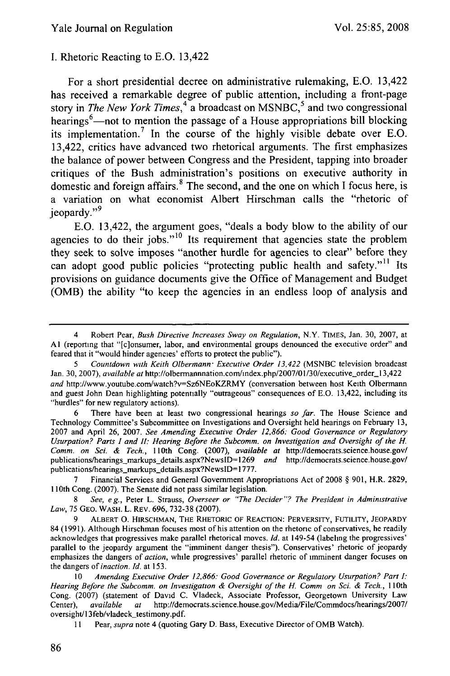#### **I.** Rhetoric Reacting to **E.O.** 13,422

For a short presidential decree on administrative rulemaking, **E.O.** 13,422 has received a remarkable degree of public attention, including a front-page story in *The New York Times*,<sup>4</sup> a broadcast on MSNBC,<sup>5</sup> and two congressional hearings<sup>6</sup>—not to mention the passage of a House appropriations bill blocking its implementation. 7 In the course of the **highly** visible debate over **E.O.** 13,422, critics have advanced two rhetorical arguments. The first emphasizes the balance of power between Congress and the President, tapping into broader critiques of the Bush administration's positions on executive authority in domestic and foreign affairs. 8 The second, and the one on which **I** focus here, is a variation on what economist Albert Hirschman calls the "rhetoric of jeopardy."<sup>9</sup>

**E.O.** 13,422, the argument goes, "deals a body blow to the ability of our agencies to do their jobs."<sup>10</sup> Its requirement that agencies state the problem they seek to solve imposes "another hurdle for agencies to clear" before they can adopt good public policies "protecting public health and safety."' <sup>1</sup>**Its** provisions on guidance documents give the Office of Management and Budget **(OMB)** the ability "to keep the agencies in an endless loop of analysis and

6 There have been at least two congressional hearings *so far.* The House Science and Technology Committee's Subcommittee on Investigations and Oversight held hearings on February 13, 2007 and April 26, 2007. *See Amending Executive Order 12,866: Good Governance or Regulatory Usurpation? Parts I and II: Hearing Before the Subcomm. on Investigation and Oversight of the H. Comm. on Sci. & Tech., I* 10th Cong. (2007), *available at* http://democrats.science.house.gov/ publications/hearings markups details.aspx?NewslD=1269 *and* http://democrats.science.house.gov/ publications/hearings\_markups\_details.aspx?NewsID=1777.

7 Financial Services and General Government Appropriations Act of 2008 § 901, H.R. 2829, 110th Cong. (2007). The Senate did not pass similar legislation.

8 *See, eg.,* Peter L. Strauss, *Overseer or "The Decider"? The President in Administrative Law,* 75 GEO. WASH. L. REV. 696, 732-38 (2007).

9 ALBERT O. HIRSCHMAN, **THE** RHETORIC OF REACTION: PERVERSITY, FUTILITY, JEOPARDY 84 (1991). Although Hirschman focuses most of his attention on the rhetoric of conservatives, he readily acknowledges that progressives make parallel rhetorical moves. *Id.* at 149-54 (labeling the progressives' parallel to the jeopardy argument the "imminent danger thesis"). Conservatives' rhetoric of jeopardy emphasizes the dangers of *action,* while progressives' parallel rhetoric of imminent danger focuses on the dangers of *inaction. Id.* at 153.

10 *Amending Executive Order 12.866: Good Governance or Regulatory Usurpation? Part I: Hearing Before the Subcomm. on Investigation & Oversight of the H. Comm on Sci. & Tech.,* 110th Cong. (2007) (statement of David C. Vladeck, Associate Professor, Georgetown University Law Center), *available at* http://democrats.science.house.gov/Media/File/Commdocs/hearings/2007/ oversight/13feb/vladeck\_testimony.pdf.

11 Pear, *supra* note 4 (quoting Gary D. Bass, Executive Director of OMB Watch).

<sup>4</sup> Robert Pear, *Bush Directive Increases Sway on Regulation,* N.Y. TIMES, Jan. 30, 2007, at **Al** (reporting that "[c]onsumer, labor, and environmental groups denounced the executive order" and feared that it "would hinder agencies' efforts to protect the public").

*<sup>5</sup> Countdown with Keith Olbermann" Executive Order 13,422* (MSNBC television broadcast Jan. 30, 2007), *available at* http://olbermannnation.com/index.php/2007/01/30/executive\_order\_13,422 *and* http://www.youtube.com/watch?v=Sz6NEoKZRMY (conversation between host Keith Olbermann and guest John Dean highlighting potentially "outrageous" consequences of E.O. 13,422, including its "hurdles" for new regulatory actions).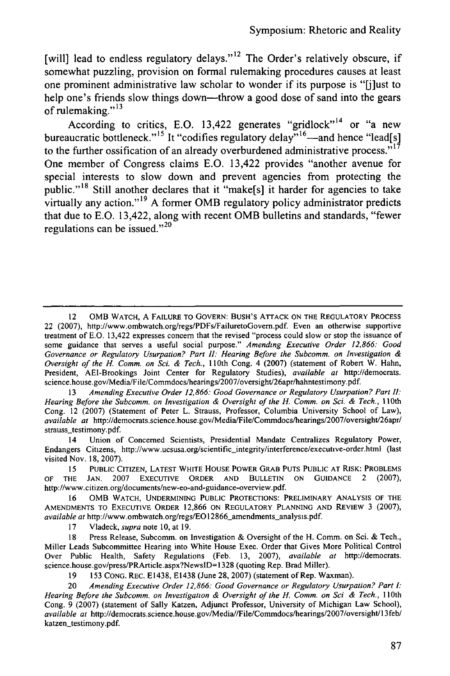[will] lead to endless regulatory delays."<sup>12</sup> The Order's relatively obscure, if somewhat puzzling, provision on formal rulemaking procedures causes at least one prominent administrative law scholar to wonder if its purpose is **"[j]ust** to help one's friends slow things down—throw a good dose of sand into the gears of rulemaking."' **3**

According to critics, E.O. 13,422 generates "gridlock"<sup>14</sup> or "a new bureaucratic bottleneck."<sup>15'</sup> It "codifies regulatory delay.<sup>516</sup>—and hence "lead[s] to the further ossification of an already overburdened administrative process." $i^{\dagger}$ One member of Congress claims E.O. 13,422 provides "another avenue for special interests to slow down and prevent agencies from protecting the public."<sup>18</sup> Still another declares that it "make[s] it harder for agencies to take virtually any action."<sup>19</sup> A former OMB regulatory policy administrator predicts that due to E.O. 13,422, along with recent OMB bulletins and standards, "fewer regulations can be issued." $^{20}$ 

<sup>13</sup>*Amending Executive Order 12,866: Good Governance or Regulatory Usurpation? Part I1:* Hearing Before the Subcomm. on Investigation & Oversight of the H. Comm. on Sci. & Tech., 110th Cong. 12 (2007) (Statement of Peter L. Strauss, Professor, Columbia University School of Law), *available at* http://democrats.science.house.gov/Media/File/Commdocs/hearings/2007/oversight/26apr/ strauss\_testimony.pdf.

14 Union of Concerned Scientists, Presidential Mandate Centralizes Regulatory Power, Endangers Citizens, http://www.ucsusa.org/scientific-integrity/interference/executive-order.html (last visited Nov. 18, 2007).

15 PUBLIC CITIZEN, LATEST WHITE HOUSE POWER GRAB PUTS PUBLIC AT RISK: PROBLEMS OF THE JAN. 2007 EXECUTIVE ORDER **AND** BULLETIN ON GUIDANCE 2 (2007), http://www.citizen.org/documents/new-eo-and-guidance-overview.pdf.

OMB WATCH, UNDERMINING PUBLIC PROTECTIONS: PRELIMINARY ANALYSIS OF THE AMENDMENTS TO EXECUTIVE ORDER 12,866 ON REGULATORY PLANNING AND REVIEW 3 (2007), *available at* http://www.ombwatch.org/regs/EO 12866\_amendments.analysis.pdf.

17 Vladeck, *supra* note 10, at 19.

18 Press Release, Subcomm. on Investigation & Oversight of the H. Comm. on Sci. & Tech., Miller Leads Subcommittee Hearing into White House Exec. Order that Gives More Political Control Over Public Health, Safety Regulations (Feb. 13, 2007), *available* at http://democrats. science.house.gov/press/PRArticle.aspx?NewslD=1328 (quoting Rep. Brad Miller).

19 153 CONG. REC. E1438, E1438 (June 28, 2007) (statement of Rep. Waxman).

20 *Amending Executive Order 12,866: Good Governance or Regulatory Usurpation? Part I:* Hearing Before the Subcomm. on Investigation & Oversight of the H. Comm. on Sci & Tech., 110th Cong. 9 (2007) (statement of Sally Katzen, Adjunct Professor, University of Michigan Law School), *available at* http://democrats.science.house.gov/Media//File/Commdocs/hearings/2007/oversight/13feb/ katzen-testimony.pdf.

<sup>12</sup> OMB WATCH, A FAILURE TO GOVERN: BUSH'S ATTACK ON THE REGULATORY PROCESS 22 (2007), http://www.ombwatch.org/regs/PDFs/FailuretoGovern.pdf. Even an otherwise supportive treatment of E.O. 13,422 expresses concern that the revised "process could slow or stop the issuance of some guidance that serves a useful social purpose." *Amending Executive Order 12,866: Good Governance or Regulatory Usurpation? Part* I." *Hearing Before the Subcomm. on Investigation & Oversight of the H. Comm. on Sci. & Tech.,* 110th Cong. 4 (2007) (statement of Robert W. Hahn, President, AEI-Brookings Joint Center for Regulatory Studies), *available at* http://democrats. science.house.gov/Media/File/Commdocs/hearings/2007/oversight/26apr/hahntestimony.pdf.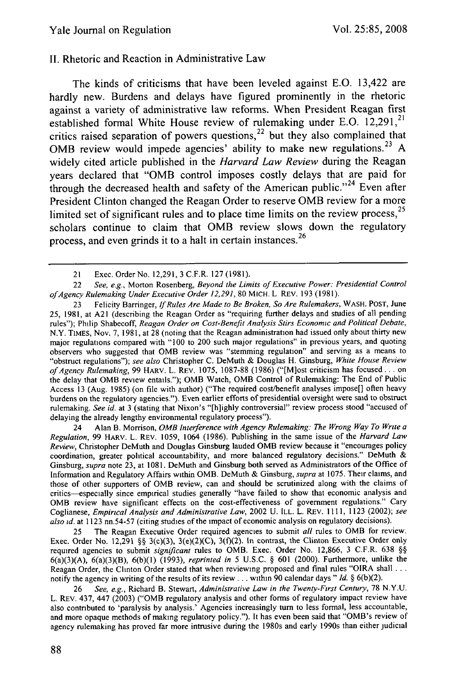#### II. Rhetoric and Reaction in Administrative Law

The kinds of criticisms that have been leveled against E.O. 13,422 are hardly new. Burdens and delays have figured prominently in the rhetoric against a variety of administrative law reforms. When President Reagan first established formal White House review of rulemaking under E.O.  $12,291$ ,<sup>21</sup> critics raised separation of powers questions, $^{22}$  but they also complained that OMB review would impede agencies' ability to make new regulations.<sup>23</sup> A widely cited article published in the *Harvard Law Review* during the Reagan years declared that "OMB control imposes costly delays that are paid for through the decreased health and safety of the American public."<sup>24</sup> Even after President Clinton changed the Reagan Order to reserve OMB review for a more limited set of significant rules and to place time limits on the review process, $^{25}$ scholars continue to claim that OMB review slows down the regulatory process, and even grinds it to a halt in certain instances.<sup>26</sup>

23 Felicity Barringer, *If Rules Are Made to Be Broken, So Are Rulemakers,* WASH. POST, June 25, 1981, at A21 (describing the Reagan Order as "requiring further delays and studies of all pending rules"); Philip Shabecoff, *Reagan Order on Cost-Benefit Analysis Stirs Economic and Political Debate,* N.Y. TIMES, Nov. 7, 1981, at 28 (noting that the Reagan administration had issued only about thirty new major regulations compared with "100 to 200 such major regulations" in previous years, and quoting observers who suggested that OMB review was "stemming regulation" and serving as a means to "obstruct regulations"); *see also* Christopher C. DeMuth & Douglas H. Ginsburg, *White House Review ofAgency Rulemaking,* 99 HARV. L. REV. 1075, 1087-88 (1986) ("[M]ost criticism has focused.., on the delay that OMB review entails."); OMB Watch, OMB Control of Rulemaking: The End of Public Access 13 (Aug. 1985) (on file with author) ("The required cost/benefit analyses impose[] often heavy burdens on the regulatory agencies."). Even earlier efforts of presidential oversight were said to obstruct rulemaking. *See id.* at 3 (stating that Nixon's "[h]ighly controversial" review process stood "accused of delaying the already lengthy environmental regulatory process").

24 Alan B. Morrison, OMB *Interference with Agency Rulemaking: The Wrong Way To Write a Regulation,* 99 HARV. L. REV. 1059, 1064 (1986). Publishing in the same issue of the *Harvard Law Review,* Christopher DeMuth and Douglas Ginsburg lauded OMB review because it "encourages policy coordination, greater political accountability, and more balanced regulatory decisions." DeMuth & Ginsburg, *supra* note 23, at 1081. DeMuth and Ginsburg both served as Administrators of the Office of Information and Regulatory Affairs within OMB. DeMuth & Ginsburg, *supra* at 1075. Their claims, and those of other supporters of OMB review, can and should be scrutinized along with the claims of critics--especially since empirical studies generally "have failed to show that economic analysis and OMB review have significant effects on the cost-effectiveness of government regulations." Cary Coglianese, *Empirical Analysis and Administrative Law,* 2002 U. ILL. L. REV. 1111, 1123 (2002); *see also id.* at 1123 nn.54-57 (citing studies of the impact of economic analysis on regulatory decisions).

25 The Reagan Executive Order required agencies to submit *all* rules to OMB for review. Exec. Order No. 12,291 §§ 3(c)(3), 3(e)(2)(C), 3(f)(2). In contrast, the Clinton Executive Order only required agencies to submit *significant* rules to OMB. Exec. Order No. 12,866, 3 C.F.R. 638 **§§** 6(a)(3)(A), 6(a)(3)(B), 6(b)(l) (1993), *reprinted in* 5 U.S.C. § 601 (2000). Furthermore, unlike the Reagan Order, the Clinton Order stated that when reviewing proposed and final rules "OIRA shall **...** notify the agency in writing of the results of its review.., within 90 calendar days" *Id.* § 6(b)(2).

26 *See, e.g.,* Richard B. Stewart, *Administrative Law in the Twenty-First Century,* 78 N.Y.U. L. REv. 437, 447 (2003) ("OMB regulatory analysis and other forms of regulatory impact review have also contributed to 'paralysis by analysis.' Agencies increasingly turn to less formal, less accountable, and more opaque methods of making regulatory policy."). It has even been said that "OMB's review of agency rulemaking has proved far more intrusive during the 1980s and early 1990s than either judicial

<sup>21</sup> Exec. Order No. 12,291, 3 C.F.R. 127 (1981).

<sup>22</sup> *See, e.g.,* Morton Rosenberg, *Beyond the Limits of Executive Power: Presidential Control ofAgency Rulemaking Under Executive Order 12,291,* 80 MICH. L REv. 193 (1981).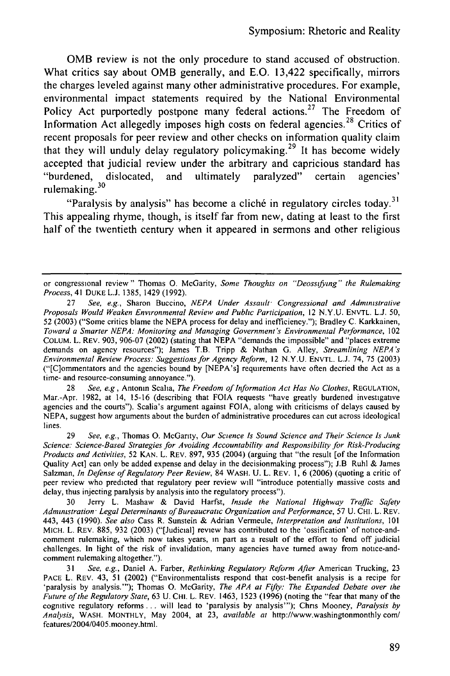**OMB** review is not the only procedure to stand accused of obstruction. What critics say about **OMB** generally, and **E.0.** 13,422 specifically, mirrors the charges leveled against many other administrative procedures. For example, environmental impact statements required **by** the National Environmental Policy Act purportedly postpone many federal actions.<sup>27</sup> The Freedom of Information Act allegedly imposes high costs on federal agencies. 28 Critics of recent proposals for peer review and other checks on information quality claim that they will unduly delay regulatory policymaking.<sup>29</sup> It has become widely accepted that judicial review under the arbitrary and capricious standard has "burdened, dislocated, and ultimately paralyzed" certain agencies' rulemaking. **<sup>3</sup> 0**

"Paralysis by analysis" has become a cliché in regulatory circles today.<sup>31</sup> This appealing rhyme, though, is itself far from new, dating at least to the first half of the twentieth century when it appeared in sermons and other religious

<sup>28</sup>*See, e.g,* Antonin Scaha, *The Freedom of Information Act Has No Clothes,* REGULATION, Mar.-Apr. 1982, at 14, 15-16 (describing that FOIA requests "have greatly burdened investigative agencies and the courts"). Scalia's argument against FOIA, along with criticisms of delays caused by NEPA, suggest how arguments about the burden of administrative procedures can cut across ideological lines.

29 *See, e.g.,* Thomas **0.** McGarity, *Our Science Is Sound Science and Their Science Is Junk Science: Science-Based Strategies for Avoiding Accountability and Responsibility for Risk-Producing Products and Activities,* 52 **KAN.** L. REV. 897, 935 (2004) (arguing that "the result [of the Information Quality Act] can only be added expense and delay in the decisionmaking process"); J.B Ruhl & James Salzman, *In Defense of Regulatory Peer Review,* 84 WASH. **U.** L. REV. **1, 6 (2006)** (quoting a critic of peer review who predicted that regulatory peer review will "introduce potentially massive costs and delay, thus injecting paralysis by analysis into the regulatory process").

30 Jerry L. Mashaw & David Harfst, *Inside the National Highway Traffic Safety Administration Legal Determinants of Bureaucratic Organization and Performance,* 57 U. **CHI.** L. REV. 443, 443 (1990). *See also* Cass R. Sunstein & Adrian Vermeule, *Interpretation and Institutions,* <sup>101</sup> MICH. L. REV. 885, 932 (2003) ("[Judicial] review has contributed to the 'ossification' of notice-andcomment rulemaking, which now takes years, in part as a result of the effort to fend off judicial challenges. In light of the risk of invalidation, many agencies have turned away from notice-andcomment rulemaking altogether.").

**31** *See, e.g.,* Daniel **A.** Farber, *Rethinking Regulatory Reform After* American Trucking, 23 PACE L. REV. 43, 51 (2002) ("Environmentalists respond that cost-benefit analysis is a recipe for 'paralysis by analysis."'); Thomas **0.** McGarity, *The APA at Fifty: The Expanded Debate over the Future of the Regulatory State,* 63 U. CHI. L. REV. 1463, **1523 (1996)** (noting the "fear that many of the cognitive regulatory reforms **...** will lead to 'paralysis by analysis"'); Chris Mooney, *Paralysis by Analysis,* WASH. MONTHLY, May 2004, at 23, *available at* http://www.washingtonmonthly com/ features/2004/0405.mooney.html.

or congressional review" Thomas **0.** McGarity, *Some Thoughts on "Deossfying" the Rulemaking Process,* 41 DUKE L.J. 1385, 1429 (1992).

<sup>27</sup> *See, e.g.,* Sharon Buccino, *NEPA Under Assault Congressional and Administrative Proposals Would Weaken Environmental Review and Public Participation,* 12 N.Y.U. ENVTL. L.J. 50, 52 (2003) ("Some critics blame the NEPA process for delay and inefficiency."); Bradley C. Karkkainen, *Toward* a *Smarter NEPA: Monitoring and Managing Government's Environmental Performance,* <sup>102</sup> COLUM. L. REV. 903, 906-07 (2002) (stating that NEPA "demands the impossible" and "places extreme demands on agency resources"); James T.B. Tripp & Nathan **G.** Alley, *Streamlining NEPA's Environmental Review Process: Suggestions for Agency Reform,* 12 N.Y.U. ENVTL. L.J. 74, 75 (2003) ("[C]ommentators and the agencies bound by [NEPA's] requirements have often decried the Act as a time- and resource-consuming annoyance.").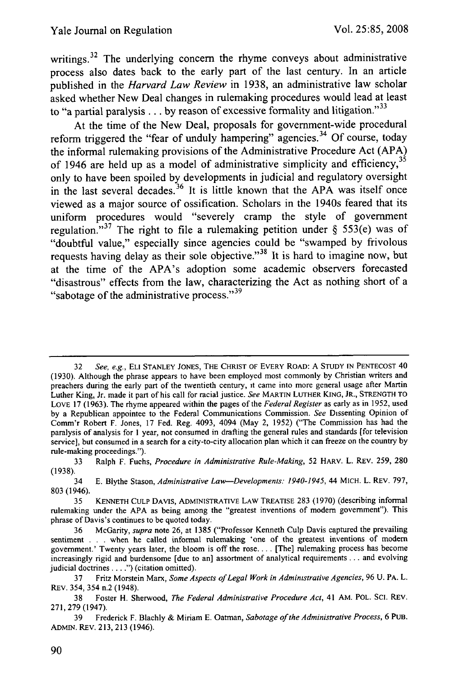writings.<sup>32</sup> The underlying concern the rhyme conveys about administrative process also dates back to the early part of the last century. In an article published in the *Harvard Law Review* in **1938,** an administrative law scholar asked whether New Deal changes in rulemaking procedures would lead at least to "a partial paralysis . . . by reason of excessive formality and litigation."<sup>33</sup>

At the time of the New Deal, proposals for government-wide procedural reform triggered the "fear of unduly hampering" agencies. <sup>34</sup>**Of** course, today the informal rulemaking provisions of the Administrative Procedure Act **(APA)** of 1946 are held up as a model of administrative simplicity and efficiency,  $3<sup>5</sup>$ only to have been spoiled **by** developments in judicial and regulatory oversight in the last several decades. 36 It is little **known** that the **APA** was itself once viewed as a major source of ossification. Scholars in the 1940s feared that its uniform procedures would "severely cramp the style of government regulation."<sup>37</sup> The right to file a rulemaking petition under  $\S$  553(e) was of "doubtful value," especially since agencies could be "swamped **by** frivolous requests having delay as their sole objective."<sup>38</sup> It is hard to imagine now, but at the time of the APA's adoption some academic observers forecasted "disastrous" effects from the law, characterizing the Act as nothing short of a "sabotage of the administrative process."<sup>39</sup>

<sup>32</sup> *See, e.g.,* **ELI STANLEY** JONES, **THE** CHRIST **OF** EVERY ROAD: **A STUDY IN PENTECOST** 40 (1930). Although the phrase appears to have been employed most commonly by Christian writers and preachers during the early part of the twentieth century, it came into more general usage after Martin Luther King, Jr. made it part of his call for racial justice. *See* MARTIN LUTHER KING, JR., **STRENGTH** TO LOVE 17 (1963). The rhyme appeared within the pages of the *Federal Register* as early as in 1952, used by a Republican appointee to the Federal Communications Commission. *See* Dissenting Opinion of Comm'r Robert F. Jones, 17 Fed. Reg. 4093, 4094 (May 2, 1952) ("The Commission has had the paralysis of analysis for 1 year, not consumed in drafting the general rules and standards [for television service], but consumed in a search for a city-to-city allocation plan which it can freeze on the country by rule-making proceedings.").

<sup>33</sup> Ralph F. Fuchs, *Procedure in Administrative Rule-Making,* 52 HARV. L. REV. 259, 280 (1938).

<sup>34</sup> E. Blythe Stason, *Administrative Law-Developments: 1940-1945,* 44 MICH. L. REV. 797, 803 (1946).

<sup>35</sup> KENNETH CULP DAVIS, ADMINISTRATIVE LAW TREATISE 283 (1970) (describing informal rulemaking under the APA as being among the "greatest inventions of modem government"). This phrase of Davis's continues to be quoted today.

<sup>36</sup> McGarity, *supra* note 26, at 1385 ("Professor Kenneth Culp Davis captured the prevailing sentiment . . . when he called informal rulemaking 'one of the greatest inventions of modern government.' Twenty years later, the bloom is off the rose.... [The] rulemaking process has become increasingly rigid and burdensome [due to an] assortment of analytical requirements.., and evolving judicial doctrines **.... ")** (citation omitted).

<sup>37</sup> Fritz Morstein Marx, *Some Aspects of Legal Work in Administrative Agencies,* 96 U. PA. L. REV. 354, 354 n.2 (1948).

<sup>38</sup> Foster H. Sherwood, *The Federal Administrative Procedure Act,* 41 AM. POL. SCI. REV. 271, 279 (1947).

<sup>39</sup> Frederick F. Blachly & Miriam E. Oatman, *Sabotage of the Administrative Process,* 6 PUB. ADMIN. REV. 213, 213 (1946).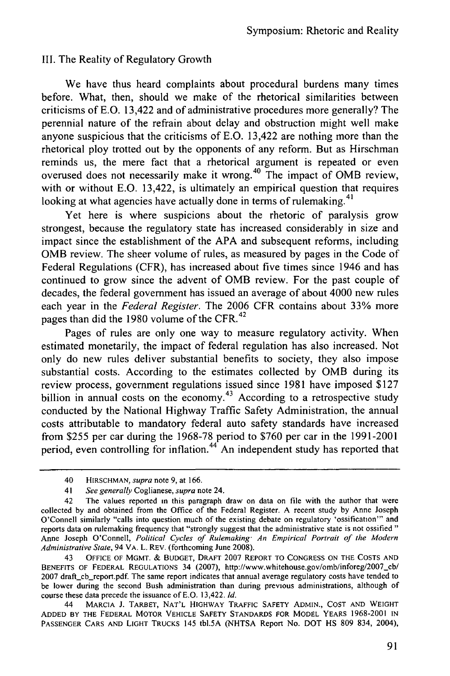#### III. The Reality of Regulatory Growth

We have thus heard complaints about procedural burdens many times before. What, then, should we make of the rhetorical similarities between criticisms of E.O. 13,422 and of administrative procedures more generally? The perennial nature of the refrain about delay and obstruction might well make anyone suspicious that the criticisms of E.O. 13,422 are nothing more than the rhetorical ploy trotted out by the opponents of any reform. But as Hirschman reminds us, the mere fact that a rhetorical argument is repeated or even overused does not necessarily make it wrong.40 The impact of OMB review, with or without E.O. 13,422, is ultimately an empirical question that requires looking at what agencies have actually done in terms of rulemaking.<sup>41</sup>

Yet here is where suspicions about the rhetoric of paralysis grow strongest, because the regulatory state has increased considerably in size and impact since the establishment of the APA and subsequent reforms, including OMB review. The sheer volume of rules, as measured by pages in the Code of Federal Regulations (CFR), has increased about five times since 1946 and has continued to grow since the advent of OMB review. For the past couple of decades, the federal government has issued an average of about 4000 new rules each year in the *Federal Register.* The 2006 CFR contains about 33% more pages than did the 1980 volume of the CFR.<sup>42</sup>

Pages of rules are only one way to measure regulatory activity. When estimated monetarily, the impact of federal regulation has also increased. Not only do new rules deliver substantial benefits to society, they also impose substantial costs. According to the estimates collected by OMB during its review process, government regulations issued since 1981 have imposed \$127 billion in annual costs on the economy.<sup>43</sup> According to a retrospective study conducted by the National Highway Traffic Safety Administration, the annual costs attributable to mandatory federal auto safety standards have increased from \$255 per car during the 1968-78 period to \$760 per car in the 1991-2001 period, even controlling for inflation.<sup>44</sup> An independent study has reported that

<sup>40</sup> HIRSCHMAN, supra note 9, at 166.

<sup>41</sup> See generally Coglianese, supra note 24.

<sup>42</sup> The values reported in this paragraph draw on data on file with the author that were collected by and obtained from the Office of the Federal Register. A recent study **by** Anne Joseph O'Connell similarly "calls into question much of the existing debate on regulatory 'ossification"' and reports data on rulemaking frequency that "strongly suggest that the administrative state is not ossified **"** Anne Joseph O'Connell, Political Cycles *of Rulemaking" An Empirical Portrait of the Modern Administrative State,* 94 VA. L. REV. (forthcoming June 2008).

<sup>43</sup> **OFFICE** OF MGMT. & **BUDGET,** DRAFT 2007 REPORT TO **CONGRESS ON** THE **COSTS AND** BENEFITS OF FEDERAL REGULATIONS 34 (2007), http://www.whitehouse.gov/omb/inforeg/2007\_cb/ 2007 draft-cb-report.pdf. The same report indicates that annual average regulatory costs have tended to be lower during the second Bush administration than during previous administrations, although of course these data precede the issuance of E.O. 13,422. Id.

<sup>44</sup> MARCIA J. TARBET, **NAT'L** HIGHWAY TRAFFIC **SAFETY ADMIN., COST AND** WEIGHT **ADDED** BY THE FEDERAL MOTOR **VEHICLE** SAFETY **STANDARDS** FOR MODEL YEARS 1968-2001 **IN PASSENGER** CARS **AND** LIGHT TRUCKS 145 tbl.5A (NHTSA Report No. DOT HS 809 834, 2004),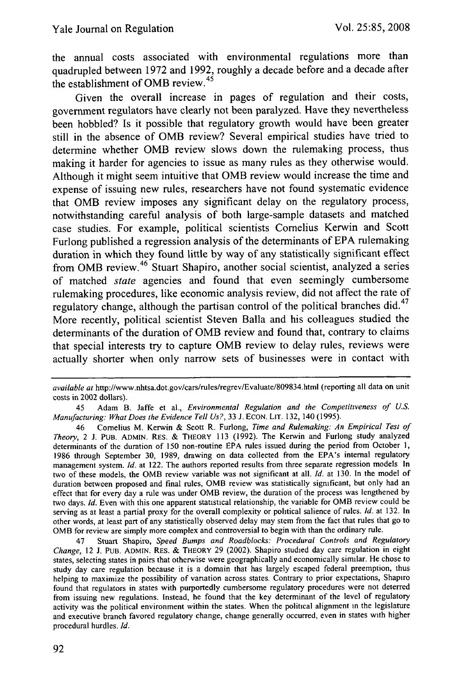the annual costs associated with environmental regulations more than quadrupled between 1972 and 1992, roughly a decade before and a decade after the establishment of OMB review.<sup>45</sup>

Given the overall increase in pages of regulation and their costs, government regulators have clearly not been paralyzed. Have they nevertheless been hobbled? Is it possible that regulatory growth would have been greater still in the absence of OMB review? Several empirical studies have tried to determine whether OMB review slows down the rulemaking process, thus making it harder for agencies to issue as many rules as they otherwise would. Although it might seem intuitive that OMB review would increase the time and expense of issuing new rules, researchers have not found systematic evidence that OMB review imposes any significant delay on the regulatory process, notwithstanding careful analysis of both large-sample datasets and matched case studies. For example, political scientists Cornelius Kerwin and Scott Furlong published a regression analysis of the determinants of EPA rulemaking duration in which they found little by way of any statistically significant effect from OMB review. 46 Stuart Shapiro, another social scientist, analyzed a series of matched *state* agencies and found that even seemingly cumbersome rulemaking procedures, like economic analysis review, did not affect the rate of regulatory change, although the partisan control of the political branches did. $47$ More recently, political scientist Steven Balla and his colleagues studied the determinants of the duration of OMB review and found that, contrary to claims that special interests try to capture OMB review to delay rules, reviews were actually shorter when only narrow sets of businesses were in contact with

45 Adam B. Jaffe et al., *Environmental Regulation and the Competitiveness of U.S. Manufacturing: What Does the Evidence Tell Us?,* 33 J. ECON. LIT. 132, 140 (1995).

46 Cornelius M. Kerwin & Scott R. Furlong, *Time and Rulemaking: An Empirical Test of Theory,* 2 J. PUB. ADMIN. RES. & THEORY 113 (1992). The Kerwin and Furlong study analyzed determinants of the duration of 150 non-routine EPA rules issued during the period from October 1, 1986 through September 30, 1989, drawing on data collected from the EPA's internal regulatory management system. *Id.* at 122. The authors reported results from three separate regression models In two of these models, the OMB review variable was not significant at all. *Id.* at 130. In the model of duration between proposed and final rules, OMB review was statistically significant, but only had an effect that for every day a rule was under OMB review, the duration of the process was lengthened by two days. *Id.* Even with this one apparent statistical relationship, the variable for OMB review could be serving as at least a partial proxy for the overall complexity or political salience of rules. *Id.* at 132. In other words, at least part of any statistically observed delay may stem from the fact that rules that go to OMB for review are simply more complex and controversial to begin with than the ordinary rule.

47 Stuart Shapiro, *Speed Bumps and Roadblocks: Procedural Controls and Regulatory Change,* 12 J. PUB. ADMIN. REs. & THEORY 29 (2002). Shapiro studied day care regulation in eight states, selecting states in pairs that otherwise were geographically and economically similar. He chose to study day care regulation because it is a domain that has largely escaped federal preemption, thus helping to maximize the possibility of variation across states. Contrary to prior expectations, Shapiro found that regulators in states with purportedly cumbersome regulatory procedures were not deterred from issuing new regulations. Instead, he found that the key determinant of the level of regulatory activity was the political environment within the states. When the political alignment in the legislature and executive branch favored regulatory change, change generally occurred, even in states with higher procedural hurdles. *Id.*

*available at* http://www.nhtsa.dot.gov/cars/rules/regrev/Evaluate/809834.htm (reporting all data on unit costs in 2002 dollars).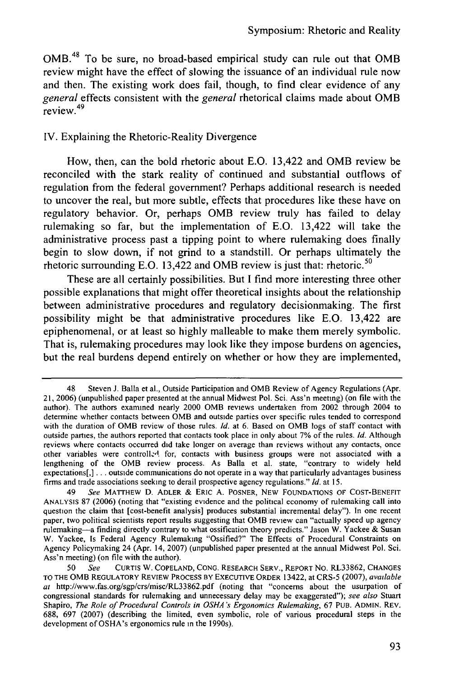**OMB. <sup>48</sup>**To be sure, no broad-based empirical study can rule out that **OMB** review might have the effect of slowing the issuance of an individual rule now and then. The existing work does fail, though, to find clear evidence of any *general* effects consistent with the *general* rhetorical claims made about **OMB**  $s^{c}$  review.<sup>49</sup>

### IV. Explaining the Rhetoric-Reality Divergence

How, then, can the bold rhetoric about E.O. 13,422 and OMB review be reconciled with the stark reality of continued and substantial outflows of regulation from the federal government? Perhaps additional research is needed to uncover the real, but more subtle, effects that procedures like these have on regulatory behavior. Or, perhaps OMB review truly has failed to delay rulemaking so far, but the implementation of E.O. 13,422 will take the administrative process past a tipping point to where rulemaking does finally begin to slow down, if not grind to a standstill. Or perhaps ultimately the rhetoric surrounding E.O. 13,422 and OMB review is just that: rhetoric. <sup>50</sup>

These are all certainly possibilities. But I find more interesting three other possible explanations that might offer theoretical insights about the relationship between administrative procedures and regulatory decisionmaking. The first possibility might be that administrative procedures like **E.O.** 13,422 are epiphenomenal, or at least so highly malleable to make them merely symbolic. That is, rulemaking procedures may look like they impose burdens on agencies, but the real burdens depend entirely on whether or how they are implemented,

<sup>48</sup> Steven J. Balla et al., Outside Participation and OMB Review of Agency Regulations (Apr. 21, 2006) (unpublished paper presented at the annual Midwest Pol. Sci. Ass'n meeting) (on file with the author). The authors examined nearly 2000 OMB reviews undertaken from 2002 through 2004 to determine whether contacts between OMB and outside parties over specific rules tended to correspond with the duration of OMB review of those rules. *Id.* at 6. Based on OMB logs of staff contact with outside parties, the authors reported that contacts took place in only about **7%** of the rules. *Id.* Although reviews where contacts occurred did take longer on average than reviews without any contacts, once other variables were controllz-A for, contacts with business groups were not associated with a lengthening of the OMB review process. As Balla et al. state, "contrary to widely held expectations[,] **...** outside communications do not operate in a way that particularly advantages business firms and trade associations seeking to derail prospective agency regulations." *Id.* at 15.

<sup>49</sup> *See* MATTHEW D. ADLER & ERIC A. POSNER, NEW FOUNDATIONS OF COST-BENEFIT ANALYSIS **87** (2006) (noting that "existing evidence and the political economy of rulemaking call into question the claim that [cost-benefit analysis] produces substantial incremental delay"). In one recent paper, two political scientists report results suggesting that OMB review can "actually speed up agency rulemaking-a finding directly contrary to what ossification theory predicts." Jason W. Yackee & Susan W. Yackee, Is Federal Agency Rulemaking "Ossified?" The Effects of Procedural Constraints on Agency Policymaking 24 (Apr. 14, 2007) (unpublished paper presented at the annual Midwest Pol. Sci. Ass'n meeting) (on file with the author).

<sup>50</sup> *See* CURTIS W. COPELAND, CONG. RESEARCH SERV., REPORT No. RL33862, CHANGES TO THE OMB REGULATORY REVIEW PROCESS BY EXECUTIVE ORDER 13422, at CRS-5 (2007), *available* at http://www.fas.org/sgp/crs/misc/RL33862.pdf (noting that "concerns about the usurpation of congressional standards for rulemaking and unnecessary delay may be exaggerated"); *see also* Stuart Shapiro, *The Role of* Procedural *Controls in OSHA's Ergonomics Rulemaking,* 67 PUB. ADMIN. REV. 688, 697 (2007) (describing the limited, even symbolic, role of various procedural steps in the development of OSHA's ergonomics rule in the 1990s).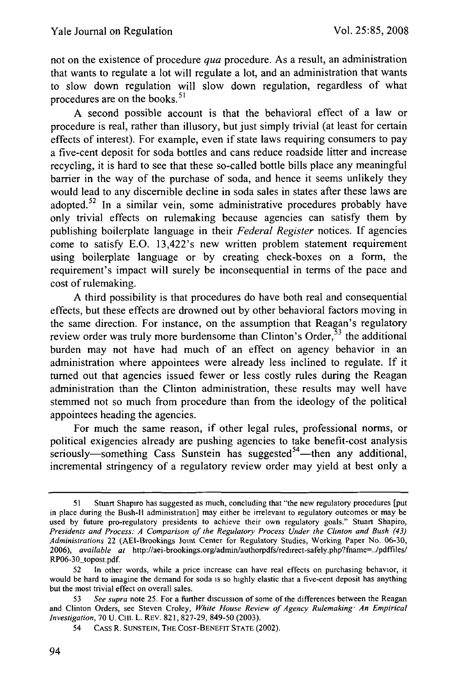not on the existence of procedure *qua* procedure. As a result, an administration that wants to regulate a lot will regulate a lot, and an administration that wants to slow down regulation will slow down regulation, regardless of what procedures are on the books.<sup>51</sup>

A second possible account is that the behavioral effect of a law or procedure is real, rather than illusory, but just simply trivial (at least for certain effects of interest). For example, even if state laws requiring consumers to pay a five-cent deposit for soda bottles and cans reduce roadside litter and increase recycling, it is hard to see that these so-called bottle bills place any meaningful barrier in the way of the purchase of soda, and hence it seems unlikely they would lead to any discernible decline in soda sales in states after these laws are adopted.<sup>52</sup> In a similar vein, some administrative procedures probably have only trivial effects on rulemaking because agencies can satisfy them by publishing boilerplate language in their *Federal Register* notices. If agencies come to satisfy E.O. 13,422's new written problem statement requirement using boilerplate language or by creating check-boxes on a form, the requirement's impact will surely be inconsequential in terms of the pace and cost of rulemaking.

A third possibility is that procedures do have both real and consequential effects, but these effects are drowned out by other behavioral factors moving in the same direction. For instance, on the assumption that Reagan's regulatory review order was truly more burdensome than Clinton's Order,  $53$  the additional burden may not have had much of an effect on agency behavior in an administration where appointees were already less inclined to regulate. If it turned out that agencies issued fewer or less costly rules during the Reagan administration than the Clinton administration, these results may well have stemmed not so much from procedure than from the ideology of the political appointees heading the agencies.

For much the same reason, if other legal rules, professional norms, or political exigencies already are pushing agencies to take benefit-cost analysis seriously—something Cass Sunstein has suggested<sup>54</sup>—then any additional, incremental stringency of a regulatory review order may yield at best only a

<sup>51</sup> Stuart Shapiro has suggested as much, concluding that "the new regulatory procedures [put in place during the Bush-II administration] may either be irrelevant to regulatory outcomes or may be used by future pro-regulatory presidents to achieve their own regulatory goals." Stuart Shapiro, *Presidents and Process: A Comparison of the Regulatory Process Under the Clinton and Bush (43) Administrations* 22 (AEI-Brookings Joint Center for Regulatory Studies, Working Paper No. 06-30, 2006), *available at* http://aei-brookings.org/admin/authorpdfs/redirect-safely.php?ffiame=../pdffiles/ RP06-30\_topost.pdf.

<sup>52</sup> In other words, while a price increase can have real effects on purchasing behavior, it would be hard to imagine the demand for soda is so highly elastic that a five-cent deposit has anything but the most trivial effect on overall sales.

<sup>53</sup> *See supra* note 25. For a further discussion of some of the differences between the Reagan and Clinton Orders, see Steven Croley, *White House Review of Agency Rulemaking" An Empirical Investigation,* 70 U. CHI. L. REv. 821, 827-29, 849-50 (2003).

<sup>54</sup> CASS R. **SUNSTEIN,** THE COST-BENEFIT **STATE** (2002).